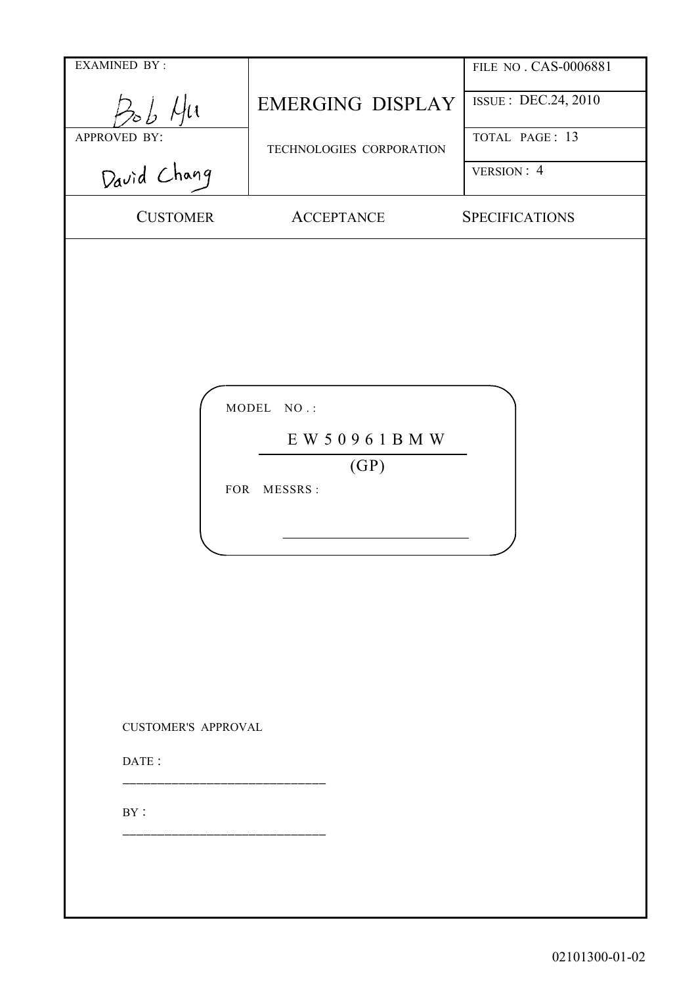| <b>EXAMINED BY:</b>        |                                                  | FILE NO. CAS-0006881  |
|----------------------------|--------------------------------------------------|-----------------------|
| Bob Hu                     | <b>EMERGING DISPLAY</b>                          | ISSUE : DEC.24, 2010  |
| APPROVED BY:               | TECHNOLOGIES CORPORATION                         | TOTAL PAGE: 13        |
| David Chang                |                                                  | VERSION: 4            |
| <b>CUSTOMER</b>            | <b>ACCEPTANCE</b>                                | <b>SPECIFICATIONS</b> |
| <b>CUSTOMER'S APPROVAL</b> | MODEL NO.:<br>EW 50961BMW<br>(GP)<br>FOR MESSRS: |                       |
| DATE:                      |                                                  |                       |
|                            |                                                  |                       |
| $\rm BY$ :                 |                                                  |                       |
|                            |                                                  |                       |
|                            |                                                  |                       |
|                            |                                                  |                       |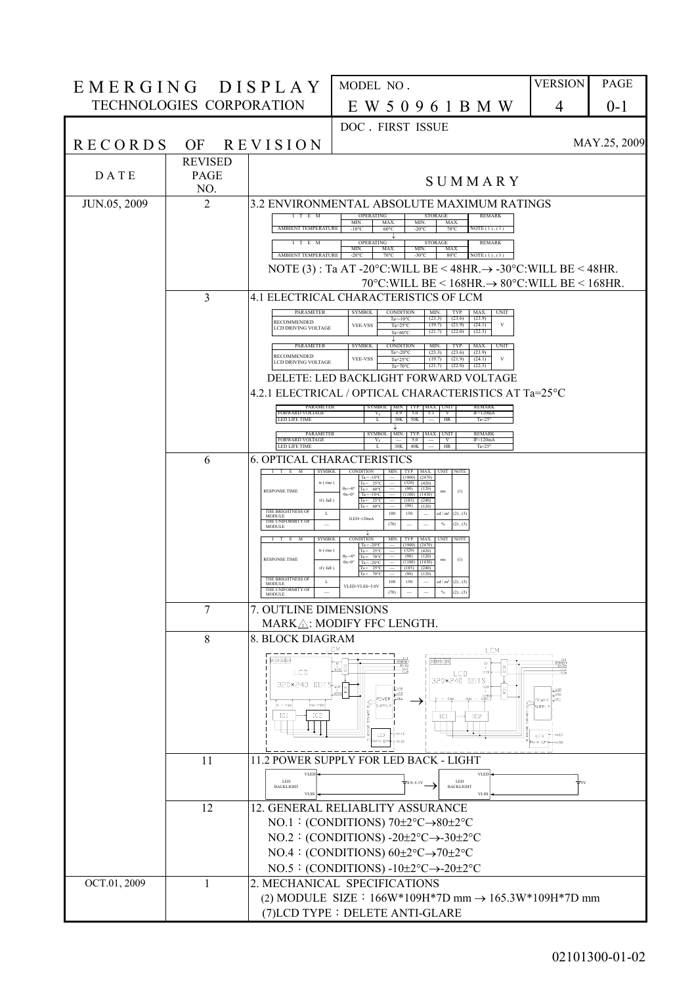| EMERGING DISPLAY |                                 |                                                                        | MODEL NO.                                                                                                                                                                                                | <b>VERSION</b>         | <b>PAGE</b>  |
|------------------|---------------------------------|------------------------------------------------------------------------|----------------------------------------------------------------------------------------------------------------------------------------------------------------------------------------------------------|------------------------|--------------|
|                  | <b>TECHNOLOGIES CORPORATION</b> |                                                                        | E W 5 0 9 6 1 B M W                                                                                                                                                                                      | 4                      | $0 - 1$      |
|                  |                                 |                                                                        | DOC. FIRST ISSUE                                                                                                                                                                                         |                        |              |
| <b>RECORDS</b>   | OF                              | <b>REVISION</b>                                                        |                                                                                                                                                                                                          |                        | MAY.25, 2009 |
|                  | <b>REVISED</b>                  |                                                                        |                                                                                                                                                                                                          |                        |              |
| DATE             | <b>PAGE</b><br>NO.              |                                                                        | SUMMARY                                                                                                                                                                                                  |                        |              |
| JUN.05, 2009     | $\overline{2}$                  | I T E M                                                                | 3.2 ENVIRONMENTAL ABSOLUTE MAXIMUM RATINGS<br><b>OPERATING</b><br><b>REMARK</b><br><b>STORAGE</b>                                                                                                        |                        |              |
|                  |                                 | AMBIENT TEMPERATURE                                                    | MAX<br>MAX<br>MIN.<br><b>MIN</b><br>$60^{\circ}$ C<br>$-20^{\circ}$ C<br>$70^{\circ}$ C<br>NOTE (1) (3)<br>$-10^{\circ}$ C                                                                               |                        |              |
|                  |                                 | I T E M<br>AMBIENT TEMPERATURE                                         | <b>OPERATING</b><br><b>STORAGE</b><br><b>REMARK</b><br>MIN.<br>MAX<br>MIN.<br>MAX<br>$-20^{\circ}$ C<br>NOTE(1), (3)<br>$70^{\circ}$ C<br>$-30^{\circ}$ C<br>$80^{\circ}$ C                              |                        |              |
|                  |                                 |                                                                        | NOTE (3): Ta AT -20°C: WILL BE < 48HR. $\rightarrow$ -30°C: WILL BE < 48HR.                                                                                                                              |                        |              |
|                  |                                 |                                                                        | 70°C: WILL BE < 168HR. $\rightarrow$ 80°C: WILL BE < 168HR.                                                                                                                                              |                        |              |
|                  | 3                               | PARAMETER                                                              | 4.1 ELECTRICAL CHARACTERISTICS OF LCM<br><b>SYMBOL</b><br><b>CONDITION</b><br>MIN.<br>TYP.<br>MAX.<br>UNIT                                                                                               |                        |              |
|                  |                                 | <b>RECOMMENDED</b><br>LCD DRIVING VOLTAGE                              | (23.3)<br>(23.6)<br>(23.9)<br>Ta= $-10^{\circ}$ C<br>$_{\rm V}$<br><b>VEE-VSS</b><br>(19.7)<br>(21.9)<br>(24.1)<br>Ta= $25^{\circ}$ C<br>(22.3)<br>Ta= $60^{\circ}$ C<br>(21.7)<br>(22.0)                |                        |              |
|                  |                                 | PARAMETER                                                              | CONDITION<br><b>SYMBOL</b><br>MIN.<br>TYP.<br>MAX.<br><b>UNIT</b>                                                                                                                                        |                        |              |
|                  |                                 | RECOMMENDED<br><b>LCD DRIVING VOLTAGE</b>                              | Ta=- $20^{\circ}$ C<br>(23.3)<br>(23.6)<br>(23.9)<br>$_{\rm V}$<br><b>VEE-VSS</b><br>Ta= $25^{\circ}$ C<br>(24.1)<br>(19.7)<br>(21.9)<br>(21.7)<br>(22.0)<br>(22.3)<br>Ta=70 $^{\circ}$ C                |                        |              |
|                  |                                 |                                                                        | DELETE: LED BACKLIGHT FORWARD VOLTAGE                                                                                                                                                                    |                        |              |
|                  |                                 | <b>PARAMETER</b>                                                       | 4.2.1 ELECTRICAL / OPTICAL CHARACTERISTICS AT Ta=25°C<br><b>REMARK</b><br><b>SYMBOL</b><br>MIN TYP<br>MAX INIT                                                                                           |                        |              |
|                  |                                 | <b>FORWARD VOLTAGE</b><br>LED LIFE TIME                                | $IF=120mA$<br>$V_{F}$<br>4.9<br>5.0<br>5.1<br>V<br>30K<br>50K<br>HR<br>Ta= $25^\circ$                                                                                                                    |                        |              |
|                  |                                 | PARAMETER<br><b>FORWARD VOLTAGE</b><br><b>LED LIFE TIME</b>            | <b>SYMBO</b><br>MIN.<br><b>UNIT</b><br><b>REMARK</b><br>TYP.<br>MAX.<br>$V_{F}$<br>5.0<br>v<br>$IF=120mA$<br>30K<br>40K<br>HR<br>Ta= $25^\circ$                                                          |                        |              |
|                  | 6                               |                                                                        | <b>6. OPTICAL CHARACTERISTICS</b>                                                                                                                                                                        |                        |              |
|                  |                                 | SYMBOL<br>I T E M<br>tr (rise)                                         | CONDITION MIN. TYP. MAX. UNIT NOTE<br>$Ta = -10°C$<br>$(1900)$ $(2470)$<br>$Ta = 25^{\circ}C$<br>(320)<br>(420)                                                                                          |                        |              |
|                  |                                 | <b>RESPONSE TIME</b><br>tf(fall)                                       | $0v=0$<br>(120)<br>$Ta = 60^{\circ}C$<br>(90)<br>(1)<br>ms<br>$\theta x = 0^{\circ}$<br>$Ta = -10°C$<br>(1100)<br>(1430)<br>$Ta = 25^{\circ}C$<br>(185)<br>(240)<br>Ta = $60^{\circ}$ C<br>(90)<br>(120) |                        |              |
|                  |                                 | THE BRIGHTNESS OF<br>L<br>MODULE<br>THE UNIFORMITY OF<br><b>MODULE</b> | 100<br>150<br>$cd/m^{2}$ (2), (3)<br>$ILED=120mA$<br>(70)<br>$\%$<br>$(2)$ , $(3)$                                                                                                                       |                        |              |
|                  |                                 | <b>SYMBOL</b><br>$I$ $T$ $E$<br>M                                      | J.<br>CONDITION<br>UNIT NOTE<br>MAX.<br>MIN.<br>TYP.<br>$Ta = -20^{\circ}C$<br>$(1900)$ $(2470)$                                                                                                         |                        |              |
|                  |                                 | tr (rise)<br><b>RESPONSE TIME</b>                                      | $Ta = 25^{\circ}C$<br>(320)<br>(420)<br>$0y=0$<br>$70^{\circ}$ C<br>(90)<br>(120)<br>$Ta =$<br>(1)<br>ms<br>$Ta = -20°C$<br>$\theta x = 0$ <sup>c</sup><br>(1100)<br>(1430)                              |                        |              |
|                  |                                 | tf(fall)<br>THE BRIGHTNESS OF<br>L<br>MODULE                           | $Ta = 25^{\circ}C$<br>(185)<br>(240)<br>$70^{\circ}$<br>(90)<br>(120)<br>$Ta =$<br>cd / m <sup>2</sup> (2), (3)<br>150<br>100<br>$\overline{\phantom{a}}$                                                |                        |              |
|                  |                                 | THE UNIFORMITY OF<br>$\sim$<br>MODULE                                  | VLED-VLSS=5.0V<br>(70)<br>$(2)$ , $(3)$<br>$\frac{9}{6}$                                                                                                                                                 |                        |              |
|                  | 7                               | 7. OUTLINE DIMENSIONS                                                  | MARKA: MODIFY FFC LENGTH.                                                                                                                                                                                |                        |              |
|                  | 8                               | 8. BLOCK DIAGRAM                                                       |                                                                                                                                                                                                          |                        |              |
|                  |                                 | DO D1 D2D3                                                             | LCM<br>LCM<br>p3 p2 p1 po                                                                                                                                                                                |                        |              |
|                  |                                 | LCD                                                                    | $\frac{1}{2}$<br>ct20<br>LCD<br>320*240 DOTS                                                                                                                                                             |                        |              |
|                  |                                 | $320*240$ DOTS $\frac{12}{1249}$                                       | C121<br>ត្<br>$\frac{1}{\sqrt{2}}$<br>C24<br>POWER                                                                                                                                                       | $\frac{1}{2}$<br>POWER |              |
|                  |                                 | Y161-Y320<br>VI - VI60<br>IC1<br>IC <sub>2</sub>                       | SH <sub>SUPPL</sub><br>IC1<br>IC <sub>5</sub>                                                                                                                                                            | a <sup>-</sup> suppLy  |              |
|                  |                                 |                                                                        | <b>TYLED</b><br>LED                                                                                                                                                                                      | LED                    |              |
|                  |                                 |                                                                        | ackLigh<br>+vLss                                                                                                                                                                                         | ackLigh                |              |
|                  | 11                              | <b>VLED</b>                                                            | 11.2 POWER SUPPLY FOR LED BACK - LIGHT<br><b>VLED</b>                                                                                                                                                    |                        |              |
|                  |                                 | <b>LED</b><br><b>BACKLIGHT</b><br><b>VLSS</b>                          | LED<br>$4.9 - 5.1V$<br><b>BACKLIGHT</b><br><b>VLSS</b>                                                                                                                                                   |                        |              |
|                  | 12                              |                                                                        | 12. GENERAL RELIABLITY ASSURANCE                                                                                                                                                                         |                        |              |
|                  |                                 |                                                                        | NO.1: (CONDITIONS) $70\pm2\degree C\rightarrow80\pm2\degree C$<br>NO.2: (CONDITIONS) -20 $\pm$ 2°C $\rightarrow$ -30 $\pm$ 2°C                                                                           |                        |              |
|                  |                                 |                                                                        | NO.4: (CONDITIONS) $60\pm2\degree C \rightarrow 70\pm2\degree C$                                                                                                                                         |                        |              |
|                  |                                 |                                                                        | NO.5: (CONDITIONS) - $10\pm2\degree C \rightarrow -20\pm2\degree C$                                                                                                                                      |                        |              |
| OCT.01, 2009     | 1                               |                                                                        | 2. MECHANICAL SPECIFICATIONS                                                                                                                                                                             |                        |              |
|                  |                                 |                                                                        | (2) MODULE SIZE: $166W*109H*7D$ mm $\rightarrow$ $165.3W*109H*7D$ mm<br>(7) LCD TYPE: DELETE ANTI-GLARE                                                                                                  |                        |              |
|                  |                                 |                                                                        |                                                                                                                                                                                                          |                        |              |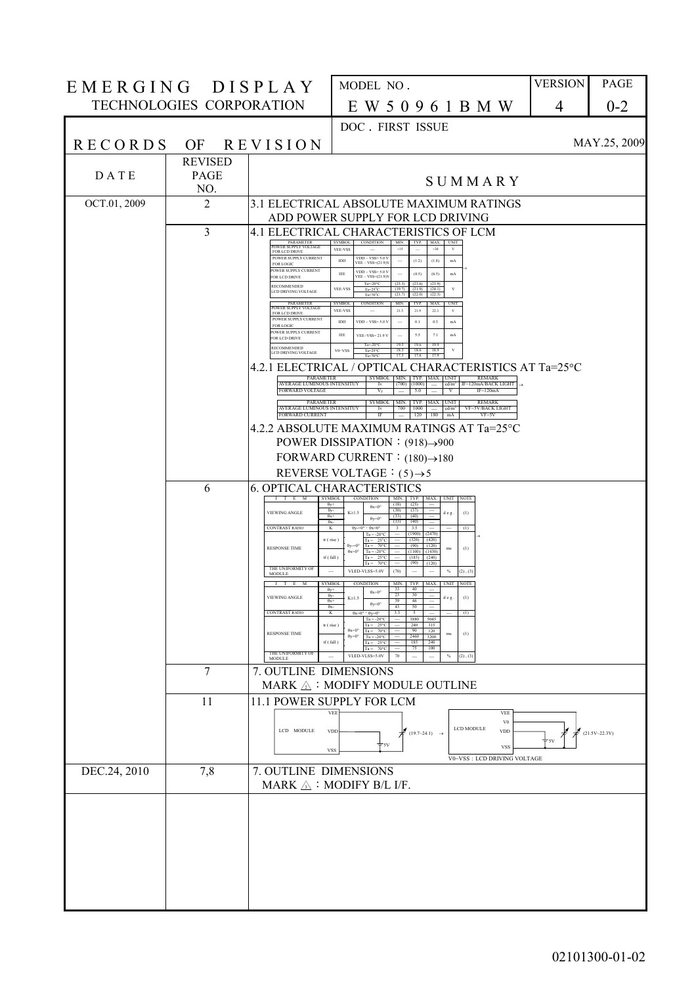| EMERGING DISPLAY |                          |                                                                                   | MODEL NO.                                                                                                                                                                                                                | <b>VERSION</b> | PAGE              |
|------------------|--------------------------|-----------------------------------------------------------------------------------|--------------------------------------------------------------------------------------------------------------------------------------------------------------------------------------------------------------------------|----------------|-------------------|
|                  | TECHNOLOGIES CORPORATION |                                                                                   | E W 5 0 9 6 1 B M W                                                                                                                                                                                                      | 4              | $0 - 2$           |
|                  |                          |                                                                                   | DOC. FIRST ISSUE                                                                                                                                                                                                         |                |                   |
| <b>RECORDS</b>   |                          | OF REVISION                                                                       |                                                                                                                                                                                                                          |                | MAY.25, 2009      |
| DATE             | <b>REVISED</b><br>PAGE   |                                                                                   |                                                                                                                                                                                                                          |                |                   |
|                  | NO.                      |                                                                                   | SUMMARY                                                                                                                                                                                                                  |                |                   |
| OCT.01, 2009     | 2                        |                                                                                   | 3.1 ELECTRICAL ABSOLUTE MAXIMUM RATINGS<br>ADD POWER SUPPLY FOR LCD DRIVING                                                                                                                                              |                |                   |
|                  | 3                        |                                                                                   | 4.1 ELECTRICAL CHARACTERISTICS OF LCM                                                                                                                                                                                    |                |                   |
|                  |                          | PARAMETER<br>POWER SUPPLY VOLTAGE<br>FOR LCD DRIVE<br>POWER SUPPLY CURRENT        | SYMBOL<br><b>CONDITION</b><br>TYP. MAX. UNIT<br>MIN.<br>VEE-VSS<br>$+15$<br>$+30$<br>$_{\rm V}$<br>$VDD - VSS = 5.0 V$                                                                                                   |                |                   |
|                  |                          | <b>FOR LOGIC</b><br>POWER SUPPLY CURRENT<br>FOR LCD DRIVE                         | $_{\rm IDD}$<br>(1.2)<br>(1.8)<br>mA<br>$\overline{\phantom{m}}$<br>$VEE - VSS = (21.9)V$<br>$VDD - VSS = 5.0 V$<br>IEE<br>(4.5)<br>(6.5)<br>$_{\rm mA}$<br>$VEE - VSS = (21.9)$                                         |                |                   |
|                  |                          | <b>RECOMMENDED</b><br>LCD DRIVING VOLTAGE                                         | (23.6)<br>$Ta = 20°C$<br>(23.3)<br>(23.9)<br>$_{\rm V}$<br>VEE-VSS<br>$Ta=25^{\circ}C$<br>(19.7)<br>$(21.9)$ $(24.1)$<br>$Ta=70^{\circ}C$<br>(21.7)<br>(22.0)<br>(22.3)                                                  |                |                   |
|                  |                          | <b>PARAMETER</b><br>POWER SUPPLY VOLTAGE<br>FOR LCD DRIVE<br>POWER SUPPLY CURRENT | <b>SYMBOL</b><br>CONDITION<br>MIN.<br>TYP.<br>MAX. UNIT<br>VEE-VSS<br>21.5<br>21.9<br>$\overline{\phantom{0}}$<br>223<br>$_{\rm V}$                                                                                      |                |                   |
|                  |                          | <b>FOR LOGIC</b><br>POWER SUPPLY CURRENT<br>FOR LCD DRIVE                         | IDD<br>0.1<br>0.3<br>$_{\rm mA}$<br>$VDD - VSS = 5.0 V$<br>IEE<br><b>VEE-VSS=21.9 V</b><br>5.5<br>7.1<br>mA                                                                                                              |                |                   |
|                  |                          | <b>RECOMMENDED</b><br>LCD DRIVING VOLTAGE                                         | $Ta = 20°C$<br>19.3<br>19.6<br>19.9<br>$_{\rm V}$<br>$V0-VSS$<br>$Ta=25^{\circ}C$<br>18.3<br>18.6<br>18.9<br>17.3<br>$Ta=70^{\circ}C$<br>17.6<br>17.9                                                                    |                |                   |
|                  |                          | PARAMETER                                                                         | 4.2.1 ELECTRICAL / OPTICAL CHARACTERISTICS AT Ta=25°C<br>SYMBOL   MIN.   TYP.   MAX.   UNIT<br><b>REMARK</b>                                                                                                             |                |                   |
|                  |                          | AVERAGE LUMINOUS INTENSITUY<br><b>FORWARD VOLTAGE</b>                             | $cd/m2$ IF=120mA/BACK LIGHT<br>Iv<br>$(700)$ $(1000)$<br>$\mathbf{v}$<br>$IF=120mA$<br>$V_{F}$<br>5.0                                                                                                                    |                |                   |
|                  |                          | PARAMETER<br>AVERAGE LUMINOUS INTENSITUY<br><b>FORWARD CURRENT</b>                | <b>SYMBOL</b><br>TYP. MAX. UNIT<br><b>REMARK</b><br>MIN.<br>Iv<br>700<br>1000<br>cd/m <sup>2</sup><br>VF=5V/BACK LIGHT<br>$\sim$<br>$\overline{\mathbb{F}}$<br>180<br>120<br>mA<br>$VF = 5V$<br>$\overline{\phantom{m}}$ |                |                   |
|                  |                          |                                                                                   | 4.2.2 ABSOLUTE MAXIMUM RATINGS AT Ta=25°C                                                                                                                                                                                |                |                   |
|                  |                          |                                                                                   | POWER DISSIPATION : (918)→900<br>FORWARD CURRENT : $(180) \rightarrow 180$                                                                                                                                               |                |                   |
|                  |                          |                                                                                   | REVERSE VOLTAGE : $(5)$ $\rightarrow$ 5                                                                                                                                                                                  |                |                   |
|                  | 6                        | $I$ $T$ $E$ $M$                                                                   | <b>6. OPTICAL CHARACTERISTICS</b><br>SYMBOL<br>CONDITION<br>UNIT NOTE<br>MIN.<br>TYP. MAX.                                                                                                                               |                |                   |
|                  |                          | VIEWING ANGLE                                                                     | (25)<br>(18)<br>$0v+$<br>$\theta x = 0^{\circ}$<br>$\theta$ y-<br>(30)<br>(37)<br>$K \ge 1.5$<br>deg.<br>(1)<br>$\theta_{X}+$<br>(33)<br>(40)<br>$\theta$ y=0°<br>(33)<br>(40)<br>$\theta x$                             |                |                   |
|                  |                          | <b>CONTRAST RATIO</b>                                                             | K<br>$\theta$ y-=0° $\theta$ x=0°<br>$\overline{\phantom{a}3}$<br>3.5<br>(1)<br>(1900)<br>(2470)<br>$Ta = -20^{\circ}C$<br>tr (rise)<br>$Ta = 25^{\circ}C$<br>(320)<br>(420)                                             |                |                   |
|                  |                          | <b>RESPONSE TIME</b>                                                              | $0y=0$ °<br>Ta = $70^{\circ}$ C<br>$(90)$ $(120)$<br>(1)<br>ms<br>$\theta x = 0^\circ$<br>(1430)<br>(1100)<br>$Ta = -20°C$<br>tf(fall)<br>$Ta = 25^{\circ}C$<br>$(185)$ $(240)$                                          |                |                   |
|                  |                          | THE UNIFORMITY OF<br>MODULE                                                       | $(90)$ $(120)$<br>$70^{\circ}$ C<br>$Ta =$<br>VLED-VLSS=5.0V<br>(70)<br>$\%$<br>$(2)$ , $(3)$<br>$\overline{\phantom{a}}$<br>$\overline{\phantom{a}}$<br>$\overline{\phantom{a}}$                                        |                |                   |
|                  |                          | I T E M<br><b>VIEWING ANGLE</b>                                                   | MIN. TYP. MAX. UNIT NOTE<br><b>SYMBOL</b><br><b>CONDITION</b><br>40<br>$\theta$ y+<br>33<br>$\theta x = 0^\circ$<br>23<br>30<br>$\theta$ v-<br>K≥1.5<br>d e g.<br>(1)<br>$\theta x+$<br>39<br>46                         |                |                   |
|                  |                          | <b>CONTRAST RATIO</b>                                                             | $0y=0$<br>$\theta x$<br>43<br>50<br>K<br>(1)<br>$\theta x=0^\circ$ ' $\theta y=0^\circ$<br>3.3<br>3880<br>5045<br>$Ta = -20^{\circ}$                                                                                     |                |                   |
|                  |                          | <b>RESPONSE TIME</b>                                                              | tr (rise)<br>240<br>315<br>$\theta x = 0^\circ$<br>120<br>$Ta =$<br>$70^{\circ}$ C<br>90.<br>ms<br>(1)<br>$\theta$ y=0°<br>$Ta = -20°C$<br>2460<br>3200<br>tf(fall)<br>$25^{\circ}$<br>185<br>240<br>Ta =                |                |                   |
|                  |                          | THE UNIFORMITY OF<br>MODULE                                                       | 75<br>100<br>70°<br>VLED-VLSS=5.0V<br>$(2)$ , $(3)$<br>$\%$                                                                                                                                                              |                |                   |
|                  | $\overline{7}$           | 7. OUTLINE DIMENSIONS                                                             |                                                                                                                                                                                                                          |                |                   |
|                  | 11                       |                                                                                   | MARK $\triangle$ : MODIFY MODULE OUTLINE<br>11.1 POWER SUPPLY FOR LCM                                                                                                                                                    |                |                   |
|                  |                          |                                                                                   | <b>VEE</b><br><b>VEE</b><br>${\rm V0}$                                                                                                                                                                                   |                |                   |
|                  |                          | LCD MODULE                                                                        | <b>LCD MODULE</b><br>$\overline{\mathcal{U}}$ (19.7~24.1) $\rightarrow$<br><b>VDD</b><br><b>VDD</b><br>$\frac{1}{T}$ <sub>5V</sub>                                                                                       | $+5V$          | $(21.5V - 22.3V)$ |
|                  |                          |                                                                                   | <b>VSS</b><br><b>VSS</b><br>V0-VSS: LCD DRIVING VOLTAGE                                                                                                                                                                  |                |                   |
| DEC.24, 2010     | 7,8                      | 7. OUTLINE DIMENSIONS                                                             | MARK $\triangle$ : MODIFY B/L I/F.                                                                                                                                                                                       |                |                   |
|                  |                          |                                                                                   |                                                                                                                                                                                                                          |                |                   |
|                  |                          |                                                                                   |                                                                                                                                                                                                                          |                |                   |
|                  |                          |                                                                                   |                                                                                                                                                                                                                          |                |                   |
|                  |                          |                                                                                   |                                                                                                                                                                                                                          |                |                   |
|                  |                          |                                                                                   |                                                                                                                                                                                                                          |                |                   |
|                  |                          |                                                                                   |                                                                                                                                                                                                                          |                |                   |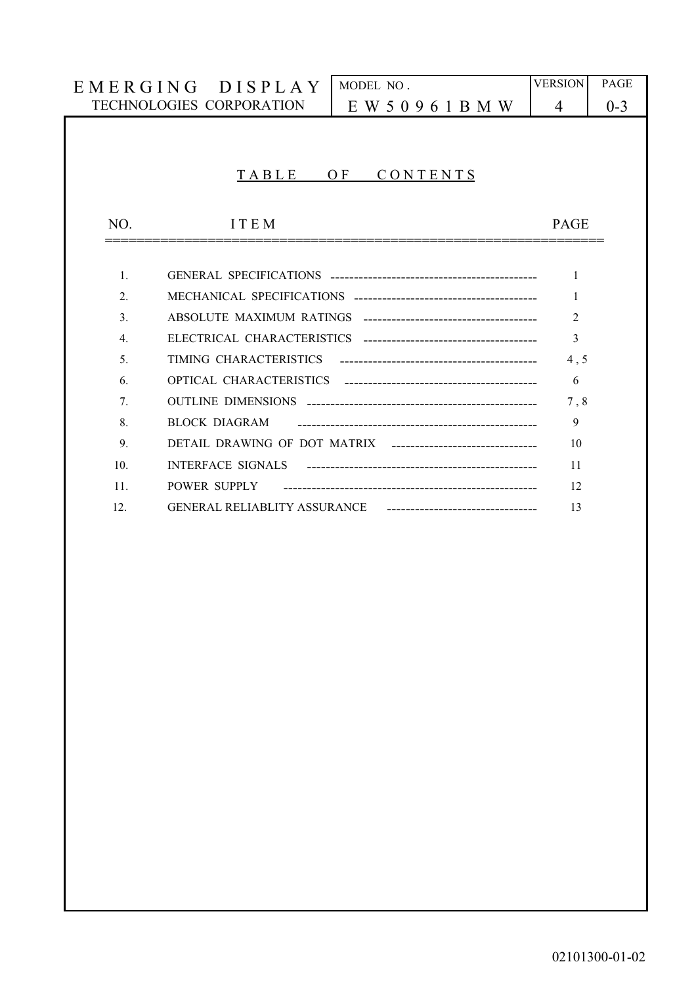|                  | EMERGING DISPLAY         | MODEL NO.                                                     | <b>VERSION</b> | PAGE    |
|------------------|--------------------------|---------------------------------------------------------------|----------------|---------|
|                  | TECHNOLOGIES CORPORATION | E W 5 0 9 6 1 B M W                                           | $\overline{4}$ | $0 - 3$ |
|                  |                          |                                                               |                |         |
|                  |                          |                                                               |                |         |
|                  | TABLE                    | O <sub>F</sub><br>CONTENTS                                    |                |         |
|                  |                          |                                                               |                |         |
| NO.              | <b>ITEM</b>              |                                                               | <b>PAGE</b>    |         |
|                  |                          |                                                               |                |         |
|                  |                          |                                                               |                |         |
| $\mathbf{1}$ .   |                          |                                                               | 1              |         |
| $\overline{2}$ . |                          |                                                               | 1              |         |
| 3 <sub>1</sub>   |                          |                                                               | $\mathfrak{D}$ |         |
| $\overline{4}$ . |                          |                                                               | 3              |         |
| 5 <sub>1</sub>   | TIMING CHARACTERISTICS   |                                                               | 4, 5           |         |
| 6.               |                          |                                                               | 6              |         |
| 7.               |                          |                                                               | 7, 8           |         |
| 8.               | <b>BLOCK DIAGRAM</b>     |                                                               | 9              |         |
| 9.               |                          | DETAIL DRAWING OF DOT MATRIX -------------------------------- | 10             |         |
| 10 <sub>l</sub>  | <b>INTERFACE SIGNALS</b> |                                                               | 11             |         |
| 11.              | POWER SUPPLY             |                                                               | 12             |         |
| 12.              |                          | GENERAL RELIABLITY ASSURANCE ------------------------         | 13             |         |
|                  |                          |                                                               |                |         |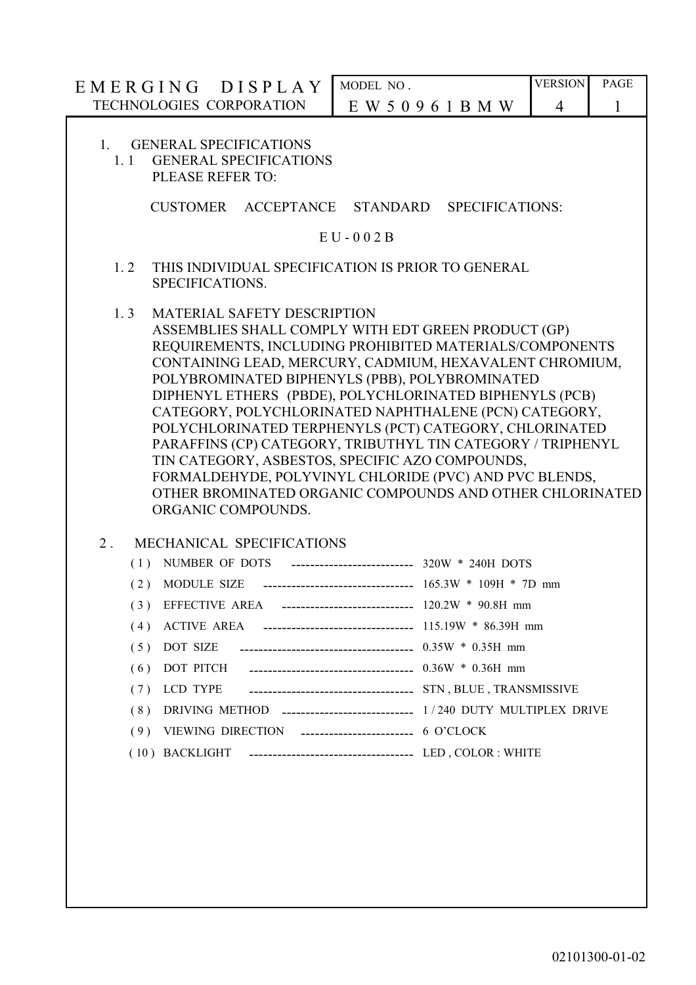| TECHNOLOGIES CORPORATION<br>E W 5 0 9 6 1 B M W<br>4<br>$\mathbf{1}$<br><b>GENERAL SPECIFICATIONS</b><br>1.<br><b>GENERAL SPECIFICATIONS</b><br>$1.1 -$<br>PLEASE REFER TO:<br>CUSTOMER ACCEPTANCE STANDARD SPECIFICATIONS:<br>$E U - 002 B$<br>1.2<br>THIS INDIVIDUAL SPECIFICATION IS PRIOR TO GENERAL<br>SPECIFICATIONS.<br>1.3<br><b>MATERIAL SAFETY DESCRIPTION</b><br>ASSEMBLIES SHALL COMPLY WITH EDT GREEN PRODUCT (GP)<br>REQUIREMENTS, INCLUDING PROHIBITED MATERIALS/COMPONENTS<br>CONTAINING LEAD, MERCURY, CADMIUM, HEXAVALENT CHROMIUM,<br>POLYBROMINATED BIPHENYLS (PBB), POLYBROMINATED<br>DIPHENYL ETHERS (PBDE), POLYCHLORINATED BIPHENYLS (PCB)<br>CATEGORY, POLYCHLORINATED NAPHTHALENE (PCN) CATEGORY,<br>POLYCHLORINATED TERPHENYLS (PCT) CATEGORY, CHLORINATED<br>PARAFFINS (CP) CATEGORY, TRIBUTHYL TIN CATEGORY / TRIPHENYL<br>TIN CATEGORY, ASBESTOS, SPECIFIC AZO COMPOUNDS,<br>FORMALDEHYDE, POLYVINYL CHLORIDE (PVC) AND PVC BLENDS,<br>OTHER BROMINATED ORGANIC COMPOUNDS AND OTHER CHLORINATED<br>ORGANIC COMPOUNDS.<br>2 <sub>1</sub><br>MECHANICAL SPECIFICATIONS<br>(1) NUMBER OF DOTS<br>--------------------------- 320W * 240H DOTS<br>$\frac{165.3W}{109H}$ * 7D mm<br>(2) MODULE SIZE<br>EFFECTIVE AREA ---------------------------- 120.2W * 90.8H mm<br>(3)<br>(4)<br>(5)<br>DOT SIZE<br>DOT PITCH ___________________________________ 0.36W * 0.36H mm<br>(6)<br>(7)<br>DRIVING METHOD ----------------------------- 1/240 DUTY MULTIPLEX DRIVE<br>(8) | EMERGING DISPLAY | MODEL NO. | <b>VERSION</b> | <b>PAGE</b> |
|--------------------------------------------------------------------------------------------------------------------------------------------------------------------------------------------------------------------------------------------------------------------------------------------------------------------------------------------------------------------------------------------------------------------------------------------------------------------------------------------------------------------------------------------------------------------------------------------------------------------------------------------------------------------------------------------------------------------------------------------------------------------------------------------------------------------------------------------------------------------------------------------------------------------------------------------------------------------------------------------------------------------------------------------------------------------------------------------------------------------------------------------------------------------------------------------------------------------------------------------------------------------------------------------------------------------------------------------------------------------------------------------------------------------------------------------------------------------------------------------------|------------------|-----------|----------------|-------------|
|                                                                                                                                                                                                                                                                                                                                                                                                                                                                                                                                                                                                                                                                                                                                                                                                                                                                                                                                                                                                                                                                                                                                                                                                                                                                                                                                                                                                                                                                                                  |                  |           |                |             |
|                                                                                                                                                                                                                                                                                                                                                                                                                                                                                                                                                                                                                                                                                                                                                                                                                                                                                                                                                                                                                                                                                                                                                                                                                                                                                                                                                                                                                                                                                                  |                  |           |                |             |
|                                                                                                                                                                                                                                                                                                                                                                                                                                                                                                                                                                                                                                                                                                                                                                                                                                                                                                                                                                                                                                                                                                                                                                                                                                                                                                                                                                                                                                                                                                  |                  |           |                |             |
|                                                                                                                                                                                                                                                                                                                                                                                                                                                                                                                                                                                                                                                                                                                                                                                                                                                                                                                                                                                                                                                                                                                                                                                                                                                                                                                                                                                                                                                                                                  |                  |           |                |             |
|                                                                                                                                                                                                                                                                                                                                                                                                                                                                                                                                                                                                                                                                                                                                                                                                                                                                                                                                                                                                                                                                                                                                                                                                                                                                                                                                                                                                                                                                                                  |                  |           |                |             |
|                                                                                                                                                                                                                                                                                                                                                                                                                                                                                                                                                                                                                                                                                                                                                                                                                                                                                                                                                                                                                                                                                                                                                                                                                                                                                                                                                                                                                                                                                                  |                  |           |                |             |
| VIEWING DIRECTION ------------------------ 6 O'CLOCK<br>(9)                                                                                                                                                                                                                                                                                                                                                                                                                                                                                                                                                                                                                                                                                                                                                                                                                                                                                                                                                                                                                                                                                                                                                                                                                                                                                                                                                                                                                                      |                  |           |                |             |

l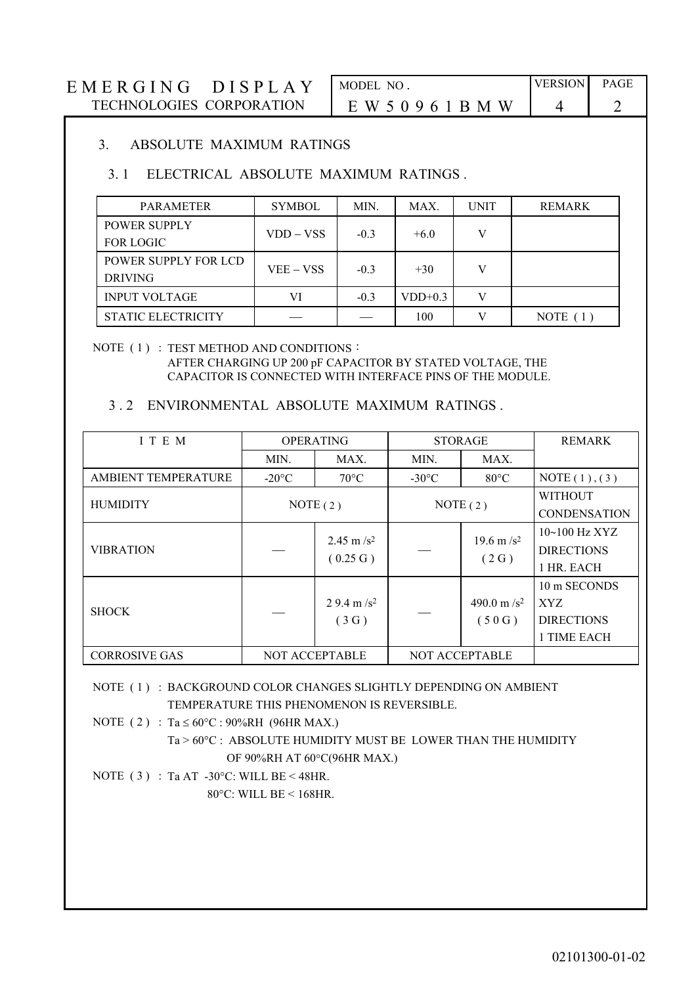# E M E R G I N G D I S P L A Y MODEL NO. VERSION PAGE TECHNOLOGIES CORPORATION E W 5 0 9 6 1 B M W 4 2

| MODEL NO.           |  |
|---------------------|--|
| E W 5 0 9 6 1 B M W |  |

### 3. ABSOLUTE MAXIMUM RATINGS

## 3. 1 ELECTRICAL ABSOLUTE MAXIMUM RATINGS .

| <b>PARAMETER</b>          | <b>SYMBOL</b> | MIN.   | MAX.      | <b>UNIT</b> | REMARK     |
|---------------------------|---------------|--------|-----------|-------------|------------|
| <b>POWER SUPPLY</b>       |               |        |           |             |            |
| <b>FOR LOGIC</b>          | VDD – VSS     | $-0.3$ | $+6.0$    |             |            |
| POWER SUPPLY FOR LCD      |               | $-0.3$ |           |             |            |
| <b>DRIVING</b>            | $VEE - VSS$   |        | $+30$     |             |            |
| <b>INPUT VOLTAGE</b>      | VI            | $-0.3$ | $VDD+0.3$ |             |            |
| <b>STATIC ELECTRICITY</b> |               |        | 100       |             | NOTE $(1)$ |

# NOTE (1) : TEST METHOD AND CONDITIONS :

AFTER CHARGING UP 200 pF CAPACITOR BY STATED VOLTAGE, THE CAPACITOR IS CONNECTED WITH INTERFACE PINS OF THE MODULE.

## 3 . 2 ENVIRONMENTAL ABSOLUTE MAXIMUM RATINGS .

| I T E M                    | <b>OPERATING</b>      |                                   | <b>STORAGE</b>        |                                 | <b>REMARK</b>                                           |
|----------------------------|-----------------------|-----------------------------------|-----------------------|---------------------------------|---------------------------------------------------------|
|                            | MIN.                  | MAX.                              | MIN.                  | MAX.                            |                                                         |
| <b>AMBIENT TEMPERATURE</b> | $-20\degree C$        | $70^{\circ}$ C                    | $-30^{\circ}$ C       | $80^{\circ}$ C                  | NOTE(1), (3)                                            |
| <b>HUMIDITY</b>            | NOTE $(2)$            |                                   | NOTE(2)               |                                 | <b>WITHOUT</b><br><b>CONDENSATION</b>                   |
| <b>VIBRATION</b>           |                       | 2.45 m/s <sup>2</sup><br>(0.25 G) |                       | 19.6 m/s <sup>2</sup><br>(2 G)  | $10~100$ Hz XYZ<br><b>DIRECTIONS</b><br>1 HR. EACH      |
| <b>SHOCK</b>               |                       | 2.9.4 m/s <sup>2</sup><br>(3G)    |                       | 490.0 m/s <sup>2</sup><br>(50G) | 10 m SECONDS<br>XYZ<br><b>DIRECTIONS</b><br>1 TIME EACH |
| <b>CORROSIVE GAS</b>       | <b>NOT ACCEPTABLE</b> |                                   | <b>NOT ACCEPTABLE</b> |                                 |                                                         |

 NOTE ( 1 ) : BACKGROUND COLOR CHANGES SLIGHTLY DEPENDING ON AMBIENT TEMPERATURE THIS PHENOMENON IS REVERSIBLE.

NOTE (2) : Ta  $\leq 60^{\circ}$ C : 90%RH (96HR MAX.)

Ta > 60°C : ABSOLUTE HUMIDITY MUST BE LOWER THAN THE HUMIDITY OF 90%RH AT 60°C(96HR MAX.)

NOTE (3) : Ta AT -30°C: WILL BE < 48HR. 80°C: WILL BE < 168HR.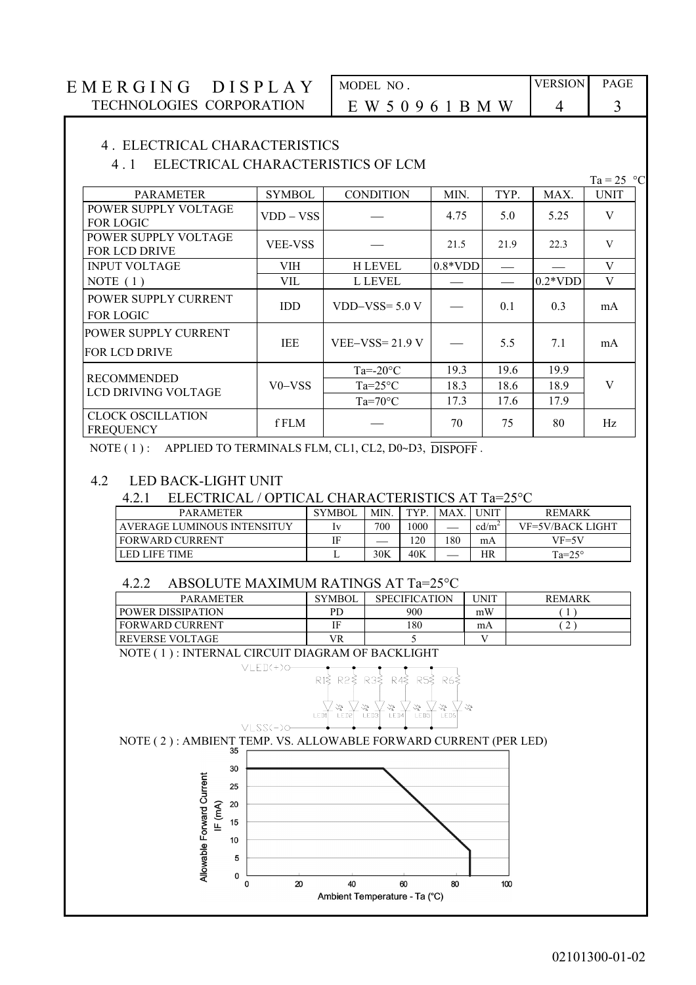# E M E R G I N G D I S P L A Y MODEL NO. VERSION PAGE TECHNOLOGIES CORPORATION E W 5 0 9 6 1 B M W 4 3

#### 4 . ELECTRICAL CHARACTERISTICS

#### 4 . 1 ELECTRICAL CHARACTERISTICS OF LCM

| <b>PARAMETER</b>                             | <b>SYMBOL</b>                   | <b>CONDITION</b>  | MIN.      | TYP. | MAX.      | <b>UNIT</b> |
|----------------------------------------------|---------------------------------|-------------------|-----------|------|-----------|-------------|
| POWER SUPPLY VOLTAGE<br><b>FOR LOGIC</b>     | VDD – VSS                       |                   | 4.75      | 5.0  | 5.25      | V           |
| POWER SUPPLY VOLTAGE<br><b>FOR LCD DRIVE</b> | <b>VEE-VSS</b>                  | 21.5              |           | 21.9 | 22.3      | V           |
| <b>INPUT VOLTAGE</b>                         | VIH                             | <b>H LEVEL</b>    | $0.8*VDD$ |      |           | V           |
| NOTE $(1)$                                   | VIL                             | L LEVEL           |           |      | $0.2*VDD$ | V           |
| POWER SUPPLY CURRENT<br><b>FOR LOGIC</b>     | <b>IDD</b>                      | $VDD-VSS = 5.0 V$ |           | 0.1  | 0.3       | mA          |
| POWER SUPPLY CURRENT<br><b>FOR LCD DRIVE</b> | <b>IEE</b>                      | $VEE-VSS=21.9 V$  |           | 5.5  | 7.1       | mA          |
|                                              |                                 | $Ta = -20$ °C     | 19.3      | 19.6 | 19.9      |             |
| <b>RECOMMENDED</b><br>LCD DRIVING VOLTAGE    | V <sub>0</sub> –v <sub>SS</sub> | $Ta=25^{\circ}C$  | 18.3      | 18.6 | 18.9      | V           |
|                                              |                                 | $Ta=70^{\circ}C$  | 17.3      | 17.6 | 17.9      |             |
| <b>CLOCK OSCILLATION</b><br><b>FREQUENCY</b> | f FLM                           |                   | 70        | 75   | 80        | Hz          |

NOTE (1): APPLIED TO TERMINALS FLM, CL1, CL2, D0~D3, DISPOFF.

#### 4.2 LED BACK-LIGHT UNIT

#### 4.2.1 ELECTRICAL / OPTICAL CHARACTERISTICS AT Ta=25°C

| <b>PARAMETER</b>            | <b>SYMBOL</b> | MIN. | <b>TYP</b> | MAX. | <b>UNIT</b>       | <b>REMARK</b>           |
|-----------------------------|---------------|------|------------|------|-------------------|-------------------------|
| AVERAGE LUMINOUS INTENSITUY | Ι٦            | 700  | 1000       |      | cd/m <sup>2</sup> | <b>VF=5V/BACK LIGHT</b> |
| l fORWARD CURRENT           | ΙE            | __   | 120        | 180  | mA                | VF=5V                   |
| LED LIFE TIME               | ∸             | 30K  | 40K        |      | HR                | $Ta=25^\circ$           |

#### 4.2.2 ABSOLUTE MAXIMUM RATINGS AT Ta=25°C

| <b>PARAMETER</b>         | <b>SYMBOL</b> | <b>SPECIFICATION</b> | <b>UNIT</b> | <b>REMARK</b> |
|--------------------------|---------------|----------------------|-------------|---------------|
| <b>POWER DISSIPATION</b> | <b>PD</b>     | 900                  | mW          |               |
| <b>FORWARD CURRENT</b>   | IF            | 180                  | mA          |               |
| <b>REVERSE VOLTAGE</b>   | VR            |                      |             |               |

NOTE ( 1 ) : INTERNAL CIRCUIT DIAGRAM OF BACKLIGHT



Ta =  $25$  °C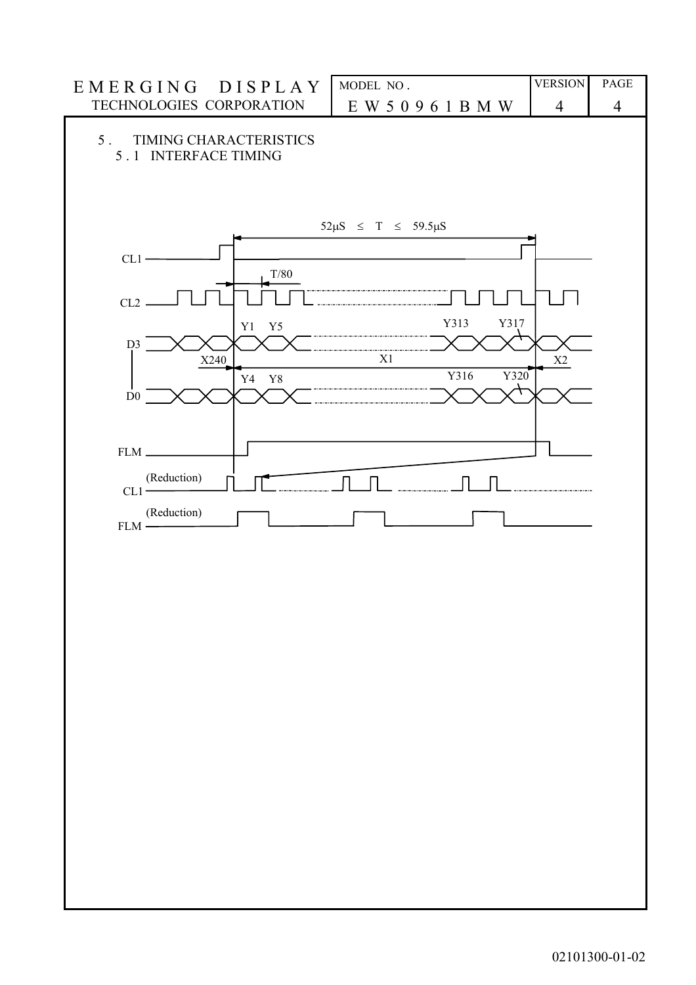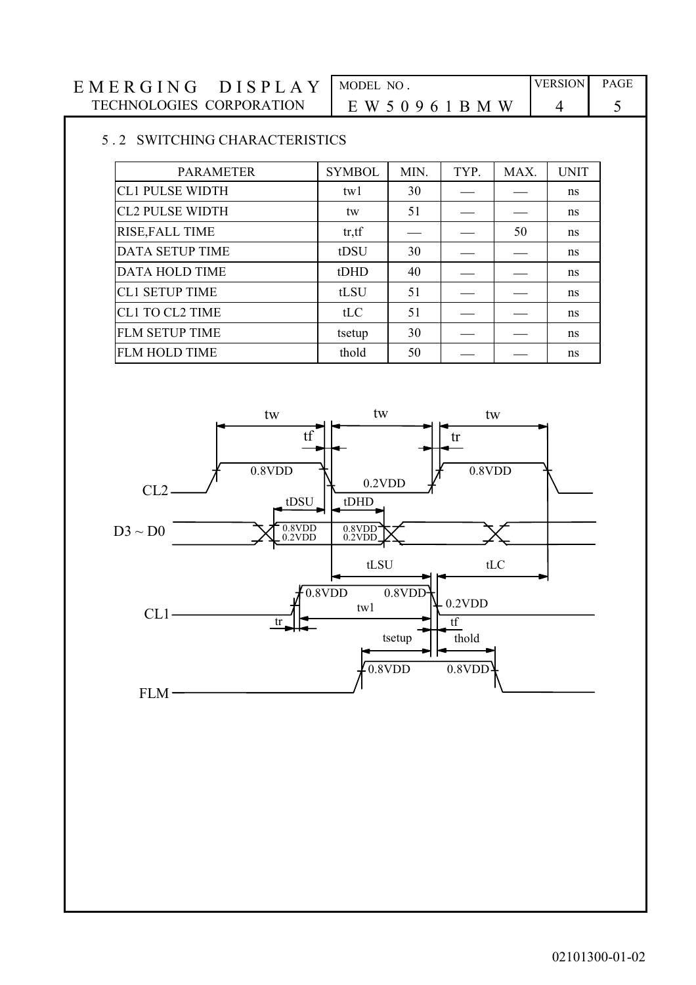| <b>DISPLAY</b><br>EMERGING | MODEL NO    | <b>VERSION</b> | <b>PAGE</b> |
|----------------------------|-------------|----------------|-------------|
| TECHNOLOGIES CORPORATION   | EW 50961BMW |                |             |

## 5 . 2 SWITCHING CHARACTERISTICS

| <b>PARAMETER</b>       | <b>SYMBOL</b> | MIN. | TYP. | MAX. | <b>UNIT</b> |
|------------------------|---------------|------|------|------|-------------|
| <b>CL1 PULSE WIDTH</b> | tw1           | 30   |      |      | ns          |
| <b>CL2 PULSE WIDTH</b> | tw            | 51   |      |      | ns          |
| RISE, FALL TIME        | tr, tf        |      |      | 50   | ns          |
| <b>DATA SETUP TIME</b> | tDSU          | 30   |      |      | ns          |
| <b>DATA HOLD TIME</b>  | tDHD          | 40   |      |      | ns          |
| <b>CL1 SETUP TIME</b>  | tLSU          | 51   |      |      | ns          |
| <b>CL1 TO CL2 TIME</b> | tLC           | 51   |      |      | ns          |
| <b>FLM SETUP TIME</b>  | tsetup        | 30   |      |      | ns          |
| <b>FLM HOLD TIME</b>   | thold         | 50   |      |      | ns          |
|                        |               |      |      |      |             |

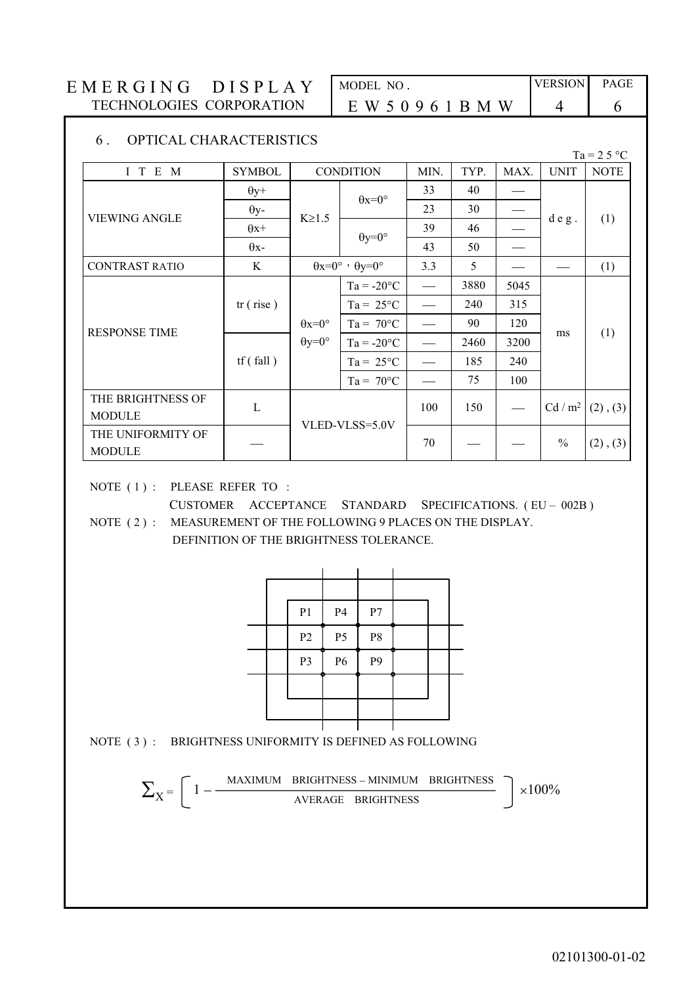| EMERGING DISPLAY         | MODEL NO    | <b>VERSION</b> | <b>PAGE</b> |
|--------------------------|-------------|----------------|-------------|
| TECHNOLOGIES CORPORATION | EW 50961BMW |                |             |

| MODEL NO.           |  |
|---------------------|--|
| E W 5 0 9 6 1 B M W |  |

#### 6 . OPTICAL CHARACTERISTICS

|                                    |               |                        |                                           |                          |      |      |                   | $Ta = 25 °C$  |
|------------------------------------|---------------|------------------------|-------------------------------------------|--------------------------|------|------|-------------------|---------------|
| I T E M                            | <b>SYMBOL</b> | <b>CONDITION</b>       |                                           | MIN.                     | TYP. | MAX. | <b>UNIT</b>       | <b>NOTE</b>   |
|                                    | $\theta$ y+   |                        | $\theta$ x=0°                             | 33                       | 40   |      | $d e g$ .         |               |
| <b>VIEWING ANGLE</b>               | $\theta$ y-   | $K \ge 1.5$            |                                           | 23                       | 30   |      |                   |               |
|                                    | $\theta$ x+   |                        | $\theta$ y=0°                             | 39                       | 46   |      |                   | (1)           |
|                                    | $\theta$ x-   |                        |                                           | 43                       | 50   |      |                   |               |
| <b>CONTRAST RATIO</b>              | K             |                        | $\theta x=0^\circ \cdot \theta y=0^\circ$ | 3.3                      | 5    |      |                   | (1)           |
|                                    |               |                        | $Ta = -20°C$                              | $\qquad \qquad -$        | 3880 | 5045 |                   |               |
|                                    | tr(rise)      |                        | $Ta = 25^{\circ}C$                        |                          | 240  | 315  |                   |               |
| <b>RESPONSE TIME</b>               |               | $\theta x = 0^{\circ}$ | $Ta = 70^{\circ}C$                        | $\overline{\phantom{a}}$ | 90   | 120  |                   |               |
|                                    |               | $\theta y = 0^{\circ}$ | $Ta = -20°C$                              |                          | 2460 | 3200 | ms                | (1)           |
|                                    | tf(fall)      |                        | $Ta = 25^{\circ}C$                        |                          | 185  | 240  |                   |               |
|                                    |               |                        | $Ta = 70^{\circ}C$                        |                          | 75   | 100  |                   |               |
| THE BRIGHTNESS OF                  | L             |                        |                                           | 100                      | 150  |      | Cd/m <sup>2</sup> |               |
| <b>MODULE</b>                      |               |                        | VLED-VLSS=5.0V                            |                          |      |      |                   | $(2)$ , $(3)$ |
| THE UNIFORMITY OF<br><b>MODULE</b> |               |                        |                                           | 70                       |      |      | $\%$              | $(2)$ , $(3)$ |

NOTE (1): PLEASE REFER TO:

CUSTOMER ACCEPTANCE STANDARD SPECIFICATIONS. (EU – 002B) NOTE (2): MEASUREMENT OF THE FOLLOWING 9 PLACES ON THE DISPLAY.

DEFINITION OF THE BRIGHTNESS TOLERANCE.

|  | P <sub>1</sub> | <b>P4</b>      | $\rm P7$       |  |  |
|--|----------------|----------------|----------------|--|--|
|  | P2             | P <sub>5</sub> | P <sub>8</sub> |  |  |
|  | P <sub>3</sub> | P <sub>6</sub> | P <sub>9</sub> |  |  |
|  |                |                |                |  |  |
|  |                |                |                |  |  |
|  |                |                |                |  |  |



$$
\Sigma_X = \left[1 - \frac{\text{maximum brightness - minimum brightness}}{\text{average brightness}}\right] \times 100\%
$$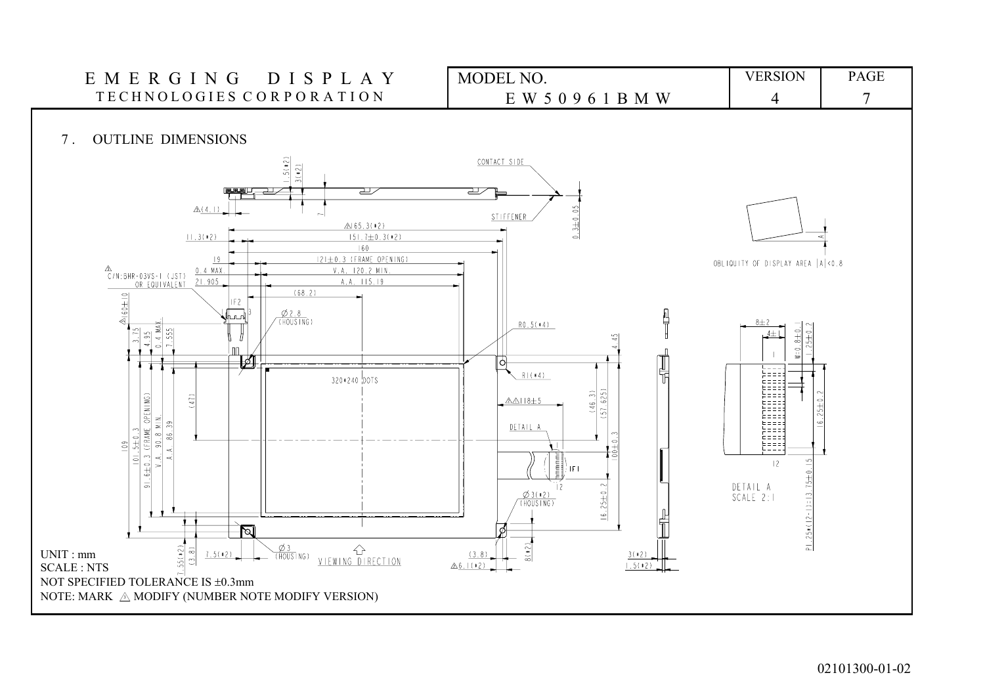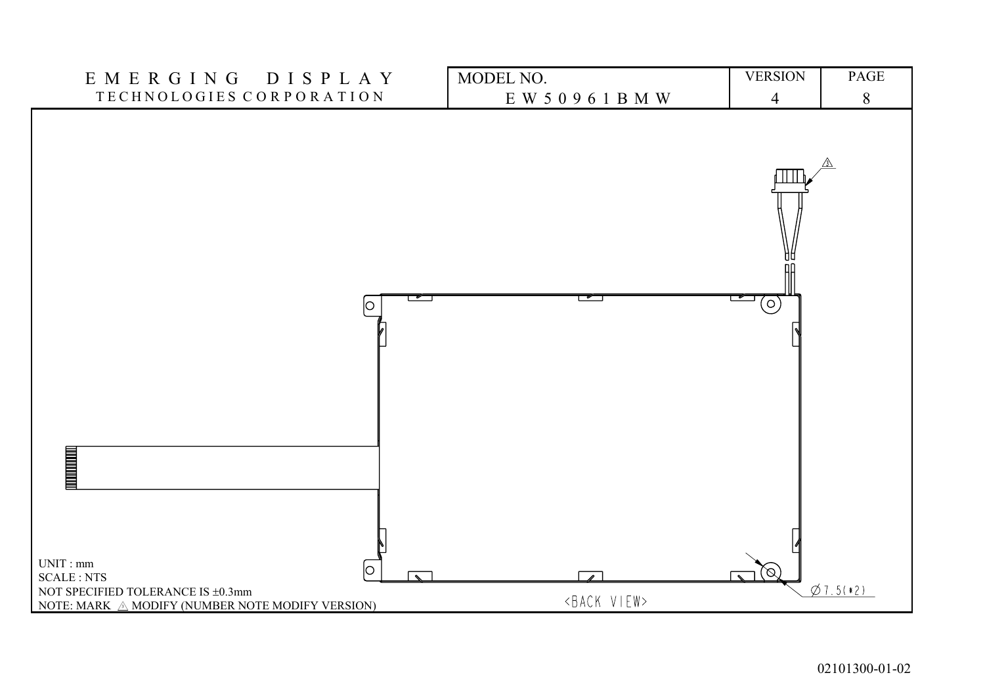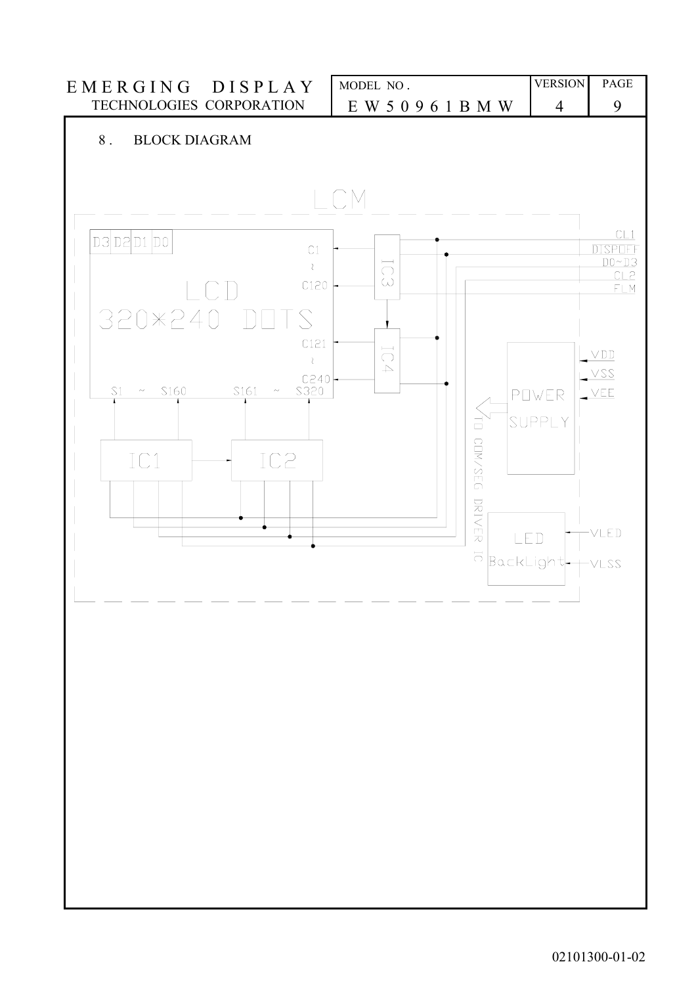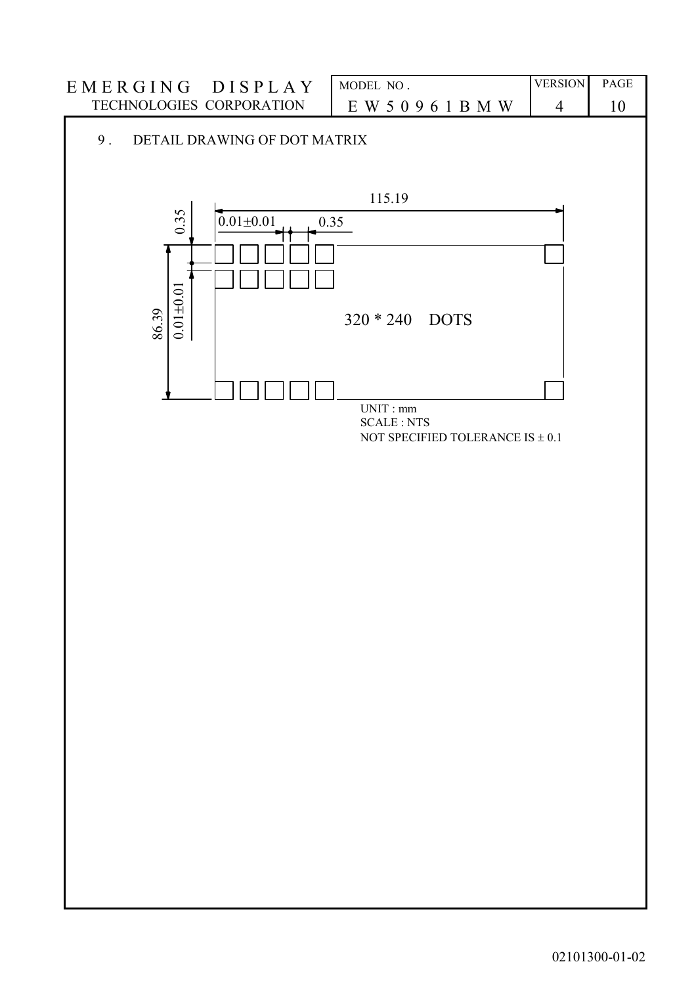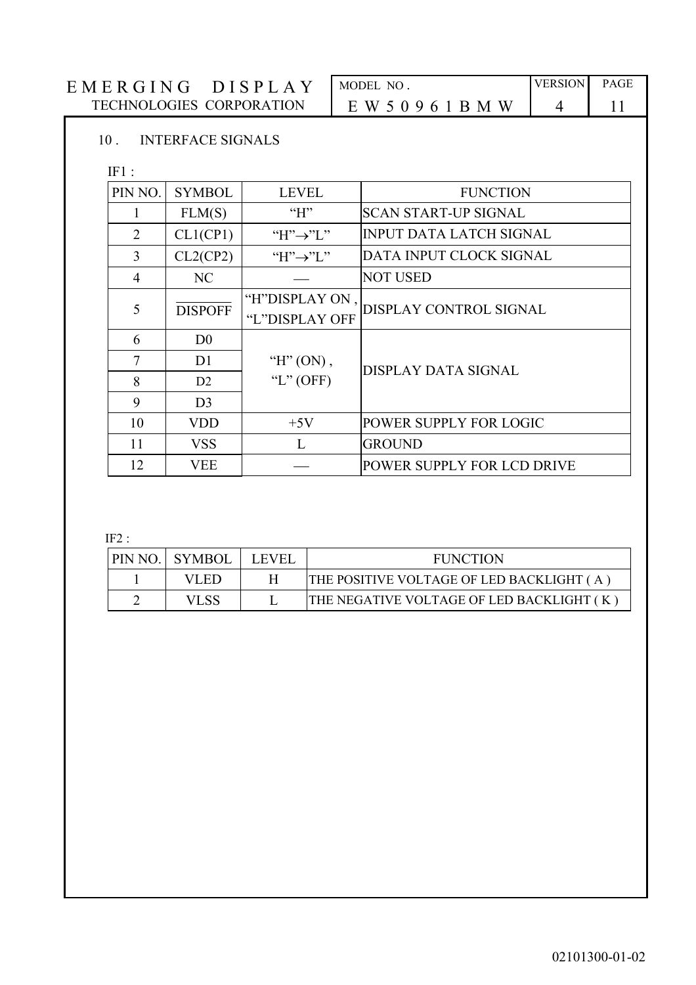| EMERGING DISPLAY                | MODEL NO.           | <b>VERSION</b> | <b>PAGE</b> |
|---------------------------------|---------------------|----------------|-------------|
| <b>TECHNOLOGIES CORPORATION</b> | E W 5 0 9 6 1 B M W |                |             |
| <b>INTERFACE SIGNALS</b>        |                     |                |             |

#### INTERFACE SIGNALS

IF1 :

| PIN NO.        | <b>SYMBOL</b>  | <b>LEVEL</b>                     | <b>FUNCTION</b>                |
|----------------|----------------|----------------------------------|--------------------------------|
|                | FLM(S)         | H                                | <b>SCAN START-UP SIGNAL</b>    |
| $\overline{2}$ | CL1(CP1)       | "H" $\rightarrow$ "L"            | <b>INPUT DATA LATCH SIGNAL</b> |
| 3              | CL2(CP2)       | "H" $\rightarrow$ "L"            | DATA INPUT CLOCK SIGNAL        |
| $\overline{4}$ | NC             |                                  | <b>NOT USED</b>                |
| 5              | <b>DISPOFF</b> | "H"DISPLAY ON,<br>"L"DISPLAY OFF | DISPLAY CONTROL SIGNAL         |
| 6              | D <sub>0</sub> |                                  |                                |
| 7              | D <sub>1</sub> | " $H$ " (ON),                    | DISPLAY DATA SIGNAL            |
| 8              | D <sub>2</sub> | "L" $(OFF)$                      |                                |
| 9              | D <sub>3</sub> |                                  |                                |
| 10             | <b>VDD</b>     | $+5V$                            | POWER SUPPLY FOR LOGIC         |
| 11             | <b>VSS</b>     | L                                | <b>GROUND</b>                  |
| 12             | <b>VEE</b>     |                                  | POWER SUPPLY FOR LCD DRIVE     |

IF2 :

| PIN NO. SYMBOL | <b>LEVEL</b> | <b>FUNCTION</b>                           |
|----------------|--------------|-------------------------------------------|
| VLED.          |              | THE POSITIVE VOLTAGE OF LED BACKLIGHT (A) |
|                |              | THE NEGATIVE VOLTAGE OF LED BACKLIGHT (K) |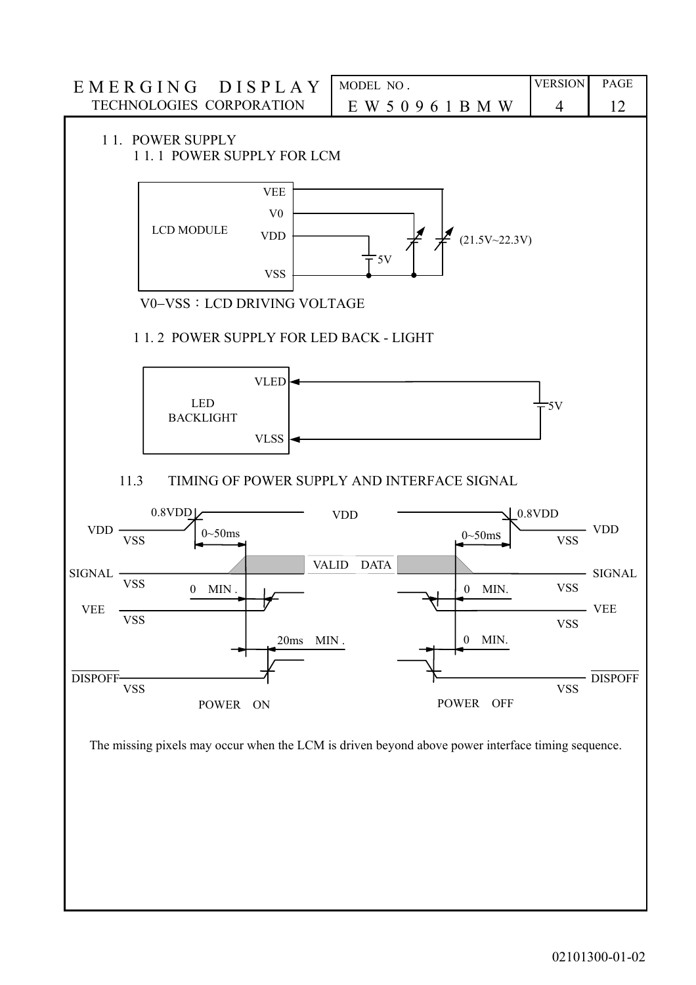